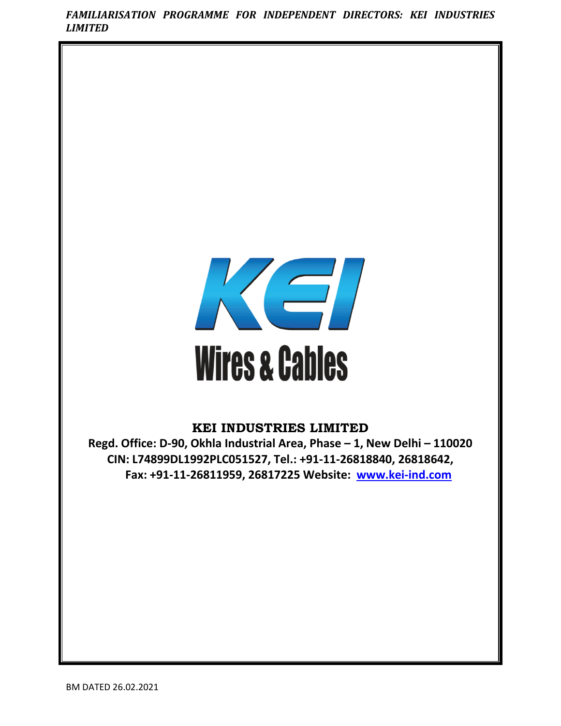*FAMILIARISATION PROGRAMME FOR INDEPENDENT DIRECTORS: KEI INDUSTRIES LIMITED*



# **KEI INDUSTRIES LIMITED**

**Regd. Office: D-90, Okhla Industrial Area, Phase – 1, New Delhi – 110020 CIN: L74899DL1992PLC051527, Tel.: +91-11-26818840, 26818642, Fax: +91-11-26811959, 26817225 Website: [www.kei-ind.com](http://www.kei-ind.com/)**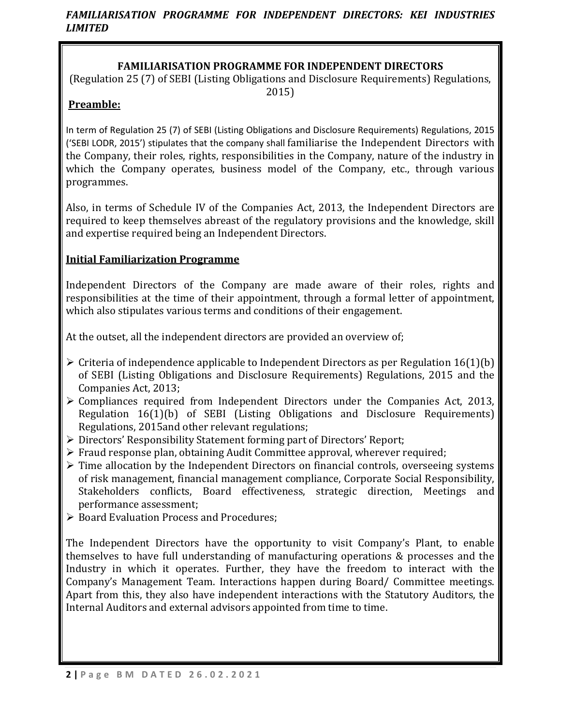# **FAMILIARISATION PROGRAMME FOR INDEPENDENT DIRECTORS**

(Regulation 25 (7) of SEBI (Listing Obligations and Disclosure Requirements) Regulations, 2015)

# **Preamble:**

In term of Regulation 25 (7) of SEBI (Listing Obligations and Disclosure Requirements) Regulations, 2015 ('SEBI LODR, 2015') stipulates that the company shall familiarise the Independent Directors with the Company, their roles, rights, responsibilities in the Company, nature of the industry in which the Company operates, business model of the Company, etc., through various programmes.

Also, in terms of Schedule IV of the Companies Act, 2013, the Independent Directors are required to keep themselves abreast of the regulatory provisions and the knowledge, skill and expertise required being an Independent Directors.

# **Initial Familiarization Programme**

Independent Directors of the Company are made aware of their roles, rights and responsibilities at the time of their appointment, through a formal letter of appointment, which also stipulates various terms and conditions of their engagement.

At the outset, all the independent directors are provided an overview of;

- $\triangleright$  Criteria of independence applicable to Independent Directors as per Regulation 16(1)(b) of SEBI (Listing Obligations and Disclosure Requirements) Regulations, 2015 and the Companies Act, 2013;
- $\triangleright$  Compliances required from Independent Directors under the Companies Act, 2013, Regulation 16(1)(b) of SEBI (Listing Obligations and Disclosure Requirements) Regulations, 2015and other relevant regulations;
- ➢ Directors' Responsibility Statement forming part of Directors' Report;
- ➢ Fraud response plan, obtaining Audit Committee approval, wherever required;
- $\triangleright$  Time allocation by the Independent Directors on financial controls, overseeing systems of risk management, financial management compliance, Corporate Social Responsibility, Stakeholders conflicts, Board effectiveness, strategic direction, Meetings and performance assessment;
- ➢ Board Evaluation Process and Procedures;

The Independent Directors have the opportunity to visit Company's Plant, to enable themselves to have full understanding of manufacturing operations & processes and the Industry in which it operates. Further, they have the freedom to interact with the Company's Management Team. Interactions happen during Board/ Committee meetings. Apart from this, they also have independent interactions with the Statutory Auditors, the Internal Auditors and external advisors appointed from time to time.